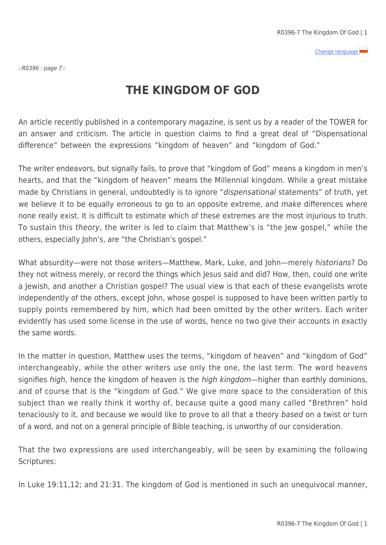Change language

::R0396 : page 7::

## **THE KINGDOM OF GOD**

An article recently published in a contemporary magazine, is sent us by a reader of the TOWER for an answer and criticism. The article in question claims to find a great deal of "Dispensational difference" between the expressions "kingdom of heaven" and "kingdom of God."

The writer endeavors, but signally fails, to prove that "kingdom of God" means a kingdom in men's hearts, and that the "kingdom of heaven" means the Millennial kingdom. While a great mistake made by Christians in general, undoubtedly is to ignore "dispensational statements" of truth, yet we believe it to be equally erroneous to go to an opposite extreme, and make differences where none really exist. It is difficult to estimate which of these extremes are the most injurious to truth. To sustain this theory, the writer is led to claim that Matthew's is "the Jew gospel," while the others, especially John's, are "the Christian's gospel."

What absurdity—were not those writers—Matthew, Mark, Luke, and John—merely historians? Do they not witness merely, or record the things which Jesus said and did? How, then, could one write a Jewish, and another a Christian gospel? The usual view is that each of these evangelists wrote independently of the others, except John, whose gospel is supposed to have been written partly to supply points remembered by him, which had been omitted by the other writers. Each writer evidently has used some license in the use of words, hence no two give their accounts in exactly the same words.

In the matter in question, Matthew uses the terms, "kingdom of heaven" and "kingdom of God" interchangeably, while the other writers use only the one, the last term. The word heavens signifies high, hence the kingdom of heaven is the high kingdom—higher than earthly dominions, and of course that is the "kingdom of God." We give more space to the consideration of this subject than we really think it worthy of, because quite a good many called "Brethren" hold tenaciously to it, and because we would like to prove to all that a theory based on a twist or turn of a word, and not on a general principle of Bible teaching, is unworthy of our consideration.

That the two expressions are used interchangeably, will be seen by examining the following Scriptures:

In Luke 19:11,12; and 21:31. The kingdom of God is mentioned in such an unequivocal manner,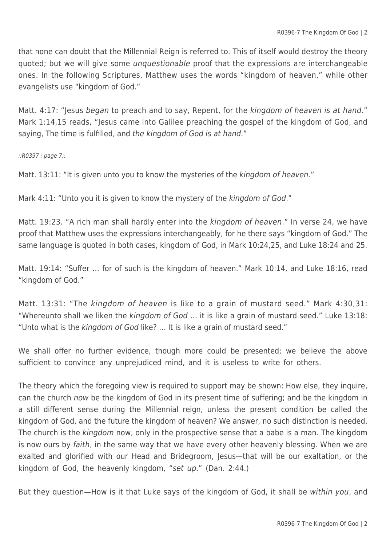that none can doubt that the Millennial Reign is referred to. This of itself would destroy the theory quoted; but we will give some unquestionable proof that the expressions are interchangeable ones. In the following Scriptures, Matthew uses the words "kingdom of heaven," while other evangelists use "kingdom of God."

Matt. 4:17: "Jesus began to preach and to say, Repent, for the kingdom of heaven is at hand." Mark 1:14,15 reads, "Jesus came into Galilee preaching the gospel of the kingdom of God, and saying, The time is fulfilled, and the kingdom of God is at hand."

::R0397 : page 7::

Matt. 13:11: "It is given unto you to know the mysteries of the kingdom of heaven."

Mark 4:11: "Unto you it is given to know the mystery of the kingdom of God."

Matt. 19:23. "A rich man shall hardly enter into the kingdom of heaven." In verse 24, we have proof that Matthew uses the expressions interchangeably, for he there says "kingdom of God." The same language is quoted in both cases, kingdom of God, in Mark 10:24,25, and Luke 18:24 and 25.

Matt. 19:14: "Suffer … for of such is the kingdom of heaven." Mark 10:14, and Luke 18:16, read "kingdom of God."

Matt. 13:31: "The kingdom of heaven is like to a grain of mustard seed." Mark 4:30,31: "Whereunto shall we liken the kingdom of God … it is like a grain of mustard seed." Luke 13:18: "Unto what is the kingdom of God like? … It is like a grain of mustard seed."

We shall offer no further evidence, though more could be presented; we believe the above sufficient to convince any unprejudiced mind, and it is useless to write for others.

The theory which the foregoing view is required to support may be shown: How else, they inquire, can the church now be the kingdom of God in its present time of suffering; and be the kingdom in a still different sense during the Millennial reign, unless the present condition be called the kingdom of God, and the future the kingdom of heaven? We answer, no such distinction is needed. The church is the kingdom now, only in the prospective sense that a babe is a man. The kingdom is now ours by faith, in the same way that we have every other heavenly blessing. When we are exalted and glorified with our Head and Bridegroom, Jesus—that will be our exaltation, or the kingdom of God, the heavenly kingdom, "set up." (Dan. 2:44.)

But they question—How is it that Luke says of the kingdom of God, it shall be within you, and